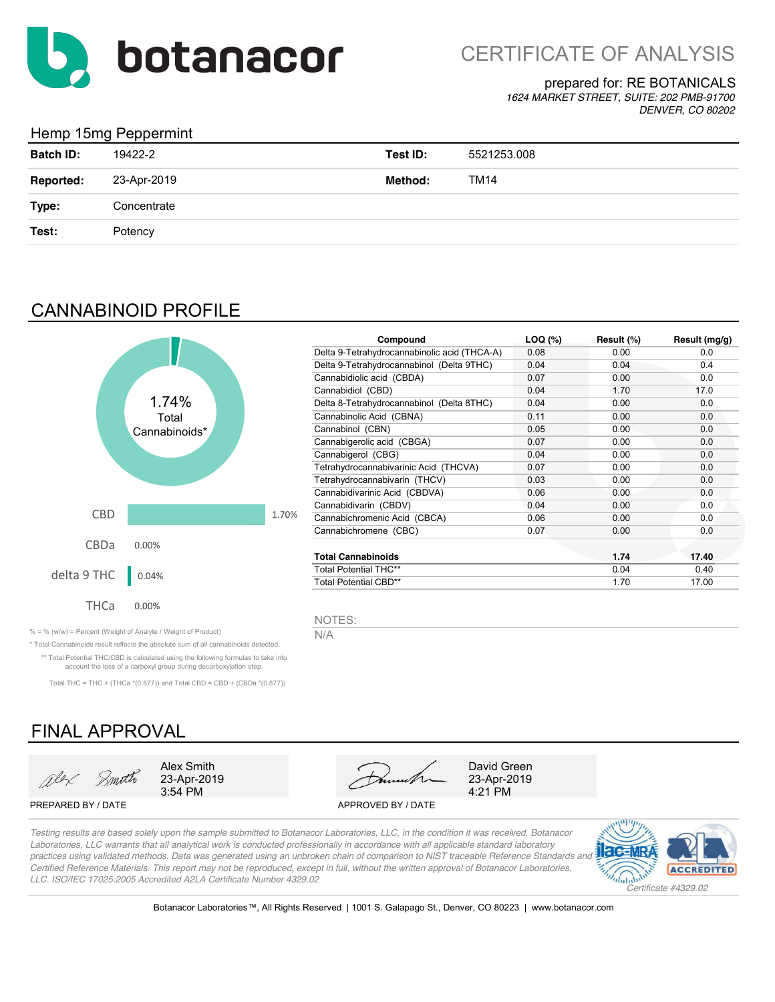

#### prepared for: RE BOTANICALS

*1624 MARKET STREET, SUITE: 202 PMB-91700 DENVER, CO 80202*

### Hemp 15mg Peppermint

| <b>Batch ID:</b> | 19422-2     | Test ID: | 5521253.008 |
|------------------|-------------|----------|-------------|
| <b>Reported:</b> | 23-Apr-2019 | Method:  | TM14        |
| Type:            | Concentrate |          |             |
| Test:            | Potency     |          |             |
|                  |             |          |             |

## CANNABINOID PROFILE



| Compound                                     | $LOQ$ $(*)$ | Result (%) | Result (mg/g) |
|----------------------------------------------|-------------|------------|---------------|
| Delta 9-Tetrahydrocannabinolic acid (THCA-A) | 0.08        | 0.00       | 0.0           |
| Delta 9-Tetrahydrocannabinol (Delta 9THC)    | 0.04        | 0.04       | 0.4           |
| Cannabidiolic acid (CBDA)                    | 0.07        | 0.00       | 0.0           |
| Cannabidiol (CBD)                            | 0.04        | 1.70       | 17.0          |
| Delta 8-Tetrahydrocannabinol (Delta 8THC)    | 0.04        | 0.00       | 0.0           |
| Cannabinolic Acid (CBNA)                     | 0.11        | 0.00       | 0.0           |
| Cannabinol (CBN)                             | 0.05        | 0.00       | 0.0           |
| Cannabigerolic acid (CBGA)                   | 0.07        | 0.00       | 0.0           |
| Cannabigerol (CBG)                           | 0.04        | 0.00       | 0.0           |
| Tetrahydrocannabivarinic Acid (THCVA)        | 0.07        | 0.00       | 0.0           |
| Tetrahydrocannabivarin (THCV)                | 0.03        | 0.00       | 0.0           |
| Cannabidivarinic Acid (CBDVA)                | 0.06        | 0.00       | 0.0           |
| Cannabidivarin (CBDV)                        | 0.04        | 0.00       | 0.0           |
| Cannabichromenic Acid (CBCA)                 | 0.06        | 0.00       | 0.0           |
| Cannabichromene (CBC)                        | 0.07        | 0.00       | 0.0           |
| <b>Total Cannabinoids</b>                    |             | 1.74       | 17.40         |
| <b>Total Potential THC**</b>                 |             | 0.04       | 0.40          |
| <b>Total Potential CBD**</b>                 |             | 1.70       | 17.00         |

NOTES:

% = % (w/w) = Percent (Weight of Analyte / Weight of Product)  $N/A$ 

\* Total Cannabinoids result reflects the absolute sum of all cannabinoids detected. \*\* Total Potential THC/CBD is calculated using the following formulas to take into account the loss of a carboxyl group during decarboxylation step.

Total THC = THC + (THCa  $*(0.877)$ ) and Total CBD = CBD + (CBDa  $*(0.877)$ )

# FINAL APPROVAL



PREPARED BY / DATE APPROVED BY / DATE



4:21 PM

*Testing results are based solely upon the sample submitted to Botanacor Laboratories, LLC, in the condition it was received. Botanacor Laboratories, LLC warrants that all analytical work is conducted professionally in accordance with all applicable standard laboratory practices using validated methods. Data was generated using an unbroken chain of comparison to NIST traceable Reference Standards and Certified Reference Materials. This report may not be reproduced, except in full, without the written approval of Botanacor Laboratories, LLC. ISO/IEC 17025:2005 Accredited A2LA Certificate Number 4329.02*



Botanacor Laboratories™, All Rights Reserved | 1001 S. Galapago St., Denver, CO 80223 | www.botanacor.com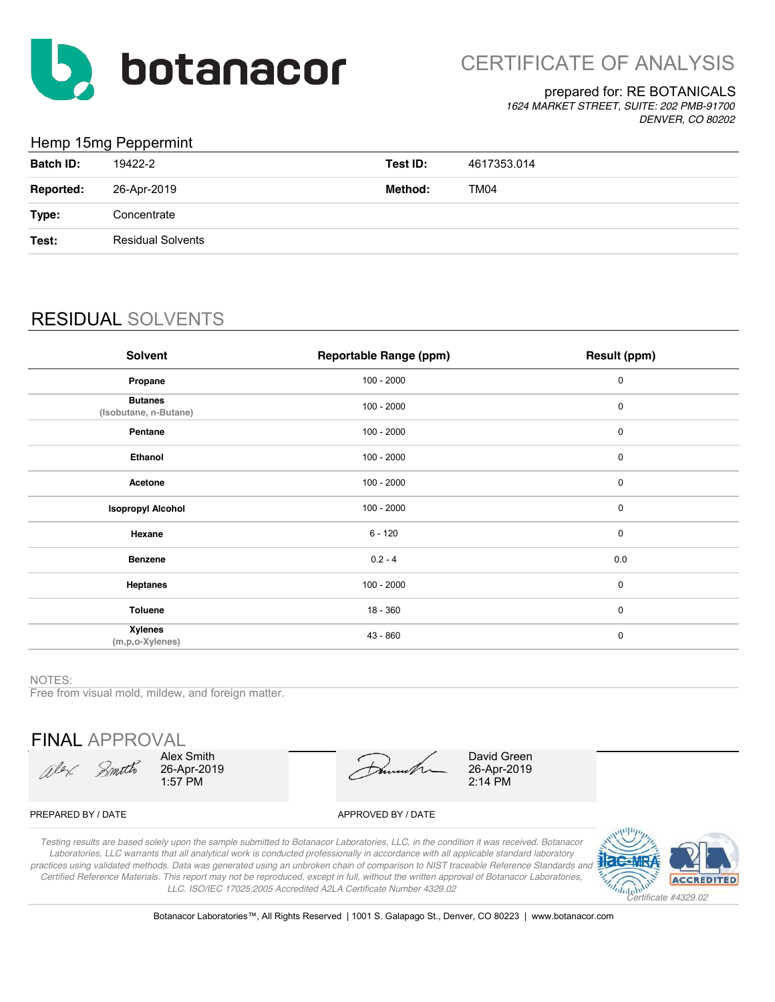

#### prepared for: RE BOTANICALS

*1624 MARKET STREET, SUITE: 202 PMB-91700 DENVER, CO 80202*

## Hemp 15mg Peppermint

|                  | .                        |          |             |
|------------------|--------------------------|----------|-------------|
| <b>Batch ID:</b> | 19422-2                  | Test ID: | 4617353.014 |
| <b>Reported:</b> | 26-Apr-2019              | Method:  | <b>TM04</b> |
| Type:            | Concentrate              |          |             |
| Test:            | <b>Residual Solvents</b> |          |             |
|                  |                          |          |             |

# RESIDUAL SOLVENTS

| Solvent                                 | <b>Reportable Range (ppm)</b> | Result (ppm) |
|-----------------------------------------|-------------------------------|--------------|
| Propane                                 | $100 - 2000$                  | 0            |
| <b>Butanes</b><br>(Isobutane, n-Butane) | $100 - 2000$                  | $\mathbf 0$  |
| Pentane                                 | $100 - 2000$                  | 0            |
| Ethanol                                 | $100 - 2000$                  | 0            |
| Acetone                                 | $100 - 2000$                  | 0            |
| <b>Isopropyl Alcohol</b>                | $100 - 2000$                  | 0            |
| Hexane                                  | $6 - 120$                     | $\mathbf 0$  |
| <b>Benzene</b>                          | $0.2 - 4$                     | 0.0          |
| <b>Heptanes</b>                         | $100 - 2000$                  | $\mathbf 0$  |
| <b>Toluene</b>                          | 18 - 360                      | $\mathbf 0$  |
| <b>Xylenes</b><br>(m,p,o-Xylenes)       | 43 - 860                      | $\pmb{0}$    |

#### NOTES:

Free from visual mold, mildew, and foreign matter.

FINAL APPROVAL

Olex Smith

Alex Smith 26-Apr-2019 1:57 PM

David Green 26-Apr-2019 2:14 PM

#### PREPARED BY / DATE APPROVED BY / DATE

*Testing results are based solely upon the sample submitted to Botanacor Laboratories, LLC, in the condition it was received. Botanacor Laboratories, LLC warrants that all analytical work is conducted professionally in accordance with all applicable standard laboratory practices using validated methods. Data was generated using an unbroken chain of comparison to NIST traceable Reference Standards and Certified Reference Materials. This report may not be reproduced, except in full, without the written approval of Botanacor Laboratories, LLC. ISO/IEC 17025:2005 Accredited A2LA Certificate Number 4329.02*



Botanacor Laboratories™, All Rights Reserved | 1001 S. Galapago St., Denver, CO 80223 | www.botanacor.com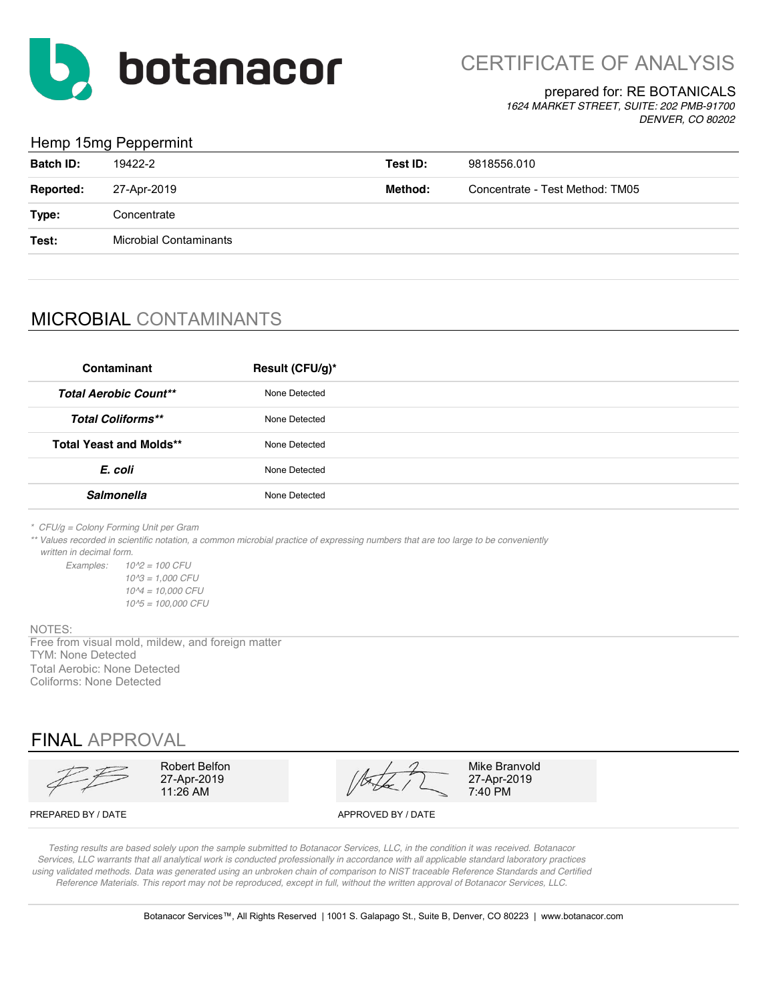

CERTIFICATE OF ANALYSIS

#### prepared for: RE BOTANICALS

*1624 MARKET STREET, SUITE: 202 PMB-91700 DENVER, CO 80202*

#### Hemp 15mg Peppermint

| <b>Batch ID:</b> | 19422-2                       | Test ID: | 9818556.010                     |
|------------------|-------------------------------|----------|---------------------------------|
| <b>Reported:</b> | 27-Apr-2019                   | Method:  | Concentrate - Test Method: TM05 |
| Type:            | Concentrate                   |          |                                 |
| Test:            | <b>Microbial Contaminants</b> |          |                                 |
|                  |                               |          |                                 |

## MICROBIAL CONTAMINANTS

| Contaminant                    | Result (CFU/g)* |
|--------------------------------|-----------------|
| <b>Total Aerobic Count**</b>   | None Detected   |
| <b>Total Coliforms**</b>       | None Detected   |
| <b>Total Yeast and Molds**</b> | None Detected   |
| E. coli                        | None Detected   |
| <b>Salmonella</b>              | None Detected   |

*\* CFU/g = Colony Forming Unit per Gram*

*\*\* Values recorded in scientific notation, a common microbial practice of expressing numbers that are too large to be conveniently written in decimal form.*

*Examples: 10^2 = 100 CFU 10^3 = 1,000 CFU 10^4 = 10,000 CFU 10^5 = 100,000 CFU*

NOTES:

Free from visual mold, mildew, and foreign matter TYM: None Detected Total Aerobic: None Detected Coliforms: None Detected

## FINAL APPROVAL

11:26 AM 27-Apr-2019

Robert Belfon  $\frac{1}{2}$  Mike Branvold

27-Apr-2019<br>7:40 PM

PREPARED BY / DATE APPROVED BY / DATE

*Testing results are based solely upon the sample submitted to Botanacor Services, LLC, in the condition it was received. Botanacor Services, LLC warrants that all analytical work is conducted professionally in accordance with all applicable standard laboratory practices using validated methods. Data was generated using an unbroken chain of comparison to NIST traceable Reference Standards and Certified Reference Materials. This report may not be reproduced, except in full, without the written approval of Botanacor Services, LLC.*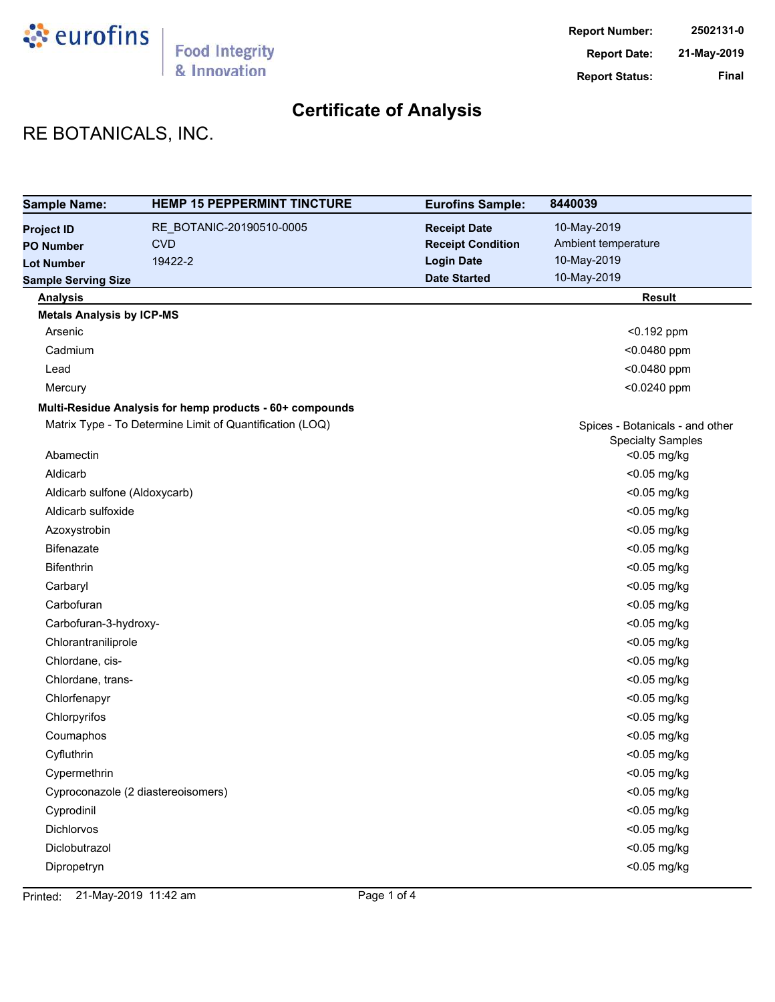

# RE BOTANICALS, INC.

| <b>Sample Name:</b>                | <b>HEMP 15 PEPPERMINT TINCTURE</b>                       | <b>Eurofins Sample:</b>  | 8440039                                 |
|------------------------------------|----------------------------------------------------------|--------------------------|-----------------------------------------|
| <b>Project ID</b>                  | RE_BOTANIC-20190510-0005                                 | <b>Receipt Date</b>      | 10-May-2019                             |
| <b>PO Number</b>                   | <b>CVD</b>                                               | <b>Receipt Condition</b> | Ambient temperature                     |
| <b>Lot Number</b>                  | 19422-2                                                  | <b>Login Date</b>        | 10-May-2019                             |
| <b>Sample Serving Size</b>         |                                                          | <b>Date Started</b>      | 10-May-2019                             |
| <b>Analysis</b>                    |                                                          |                          | <b>Result</b>                           |
| <b>Metals Analysis by ICP-MS</b>   |                                                          |                          |                                         |
| Arsenic                            |                                                          |                          | $< 0.192$ ppm                           |
| Cadmium                            |                                                          |                          | <0.0480 ppm                             |
| Lead                               |                                                          |                          | <0.0480 ppm                             |
| Mercury                            |                                                          |                          | <0.0240 ppm                             |
|                                    | Multi-Residue Analysis for hemp products - 60+ compounds |                          |                                         |
|                                    | Matrix Type - To Determine Limit of Quantification (LOQ) |                          | Spices - Botanicals - and other         |
| Abamectin                          |                                                          |                          | <b>Specialty Samples</b><br><0.05 mg/kg |
| Aldicarb                           |                                                          |                          | <0.05 mg/kg                             |
| Aldicarb sulfone (Aldoxycarb)      |                                                          |                          | <0.05 mg/kg                             |
| Aldicarb sulfoxide                 |                                                          |                          | <0.05 mg/kg                             |
| Azoxystrobin                       |                                                          |                          | <0.05 mg/kg                             |
| Bifenazate                         |                                                          |                          | <0.05 mg/kg                             |
| <b>Bifenthrin</b>                  |                                                          |                          | <0.05 mg/kg                             |
| Carbaryl                           |                                                          |                          | <0.05 mg/kg                             |
| Carbofuran                         |                                                          |                          | <0.05 mg/kg                             |
| Carbofuran-3-hydroxy-              |                                                          |                          | <0.05 mg/kg                             |
| Chlorantraniliprole                |                                                          |                          | <0.05 mg/kg                             |
| Chlordane, cis-                    |                                                          |                          | <0.05 mg/kg                             |
| Chlordane, trans-                  |                                                          |                          | <0.05 mg/kg                             |
| Chlorfenapyr                       |                                                          |                          | <0.05 mg/kg                             |
| Chlorpyrifos                       |                                                          |                          | <0.05 mg/kg                             |
| Coumaphos                          |                                                          |                          | <0.05 mg/kg                             |
| Cyfluthrin                         |                                                          |                          | <0.05 mg/kg                             |
| Cypermethrin                       |                                                          |                          | <0.05 mg/kg                             |
| Cyproconazole (2 diastereoisomers) |                                                          |                          | <0.05 mg/kg                             |
| Cyprodinil                         |                                                          |                          | <0.05 mg/kg                             |
| Dichlorvos                         |                                                          |                          | <0.05 mg/kg                             |
| Diclobutrazol                      |                                                          |                          | <0.05 mg/kg                             |
| Dipropetryn                        |                                                          |                          | <0.05 mg/kg                             |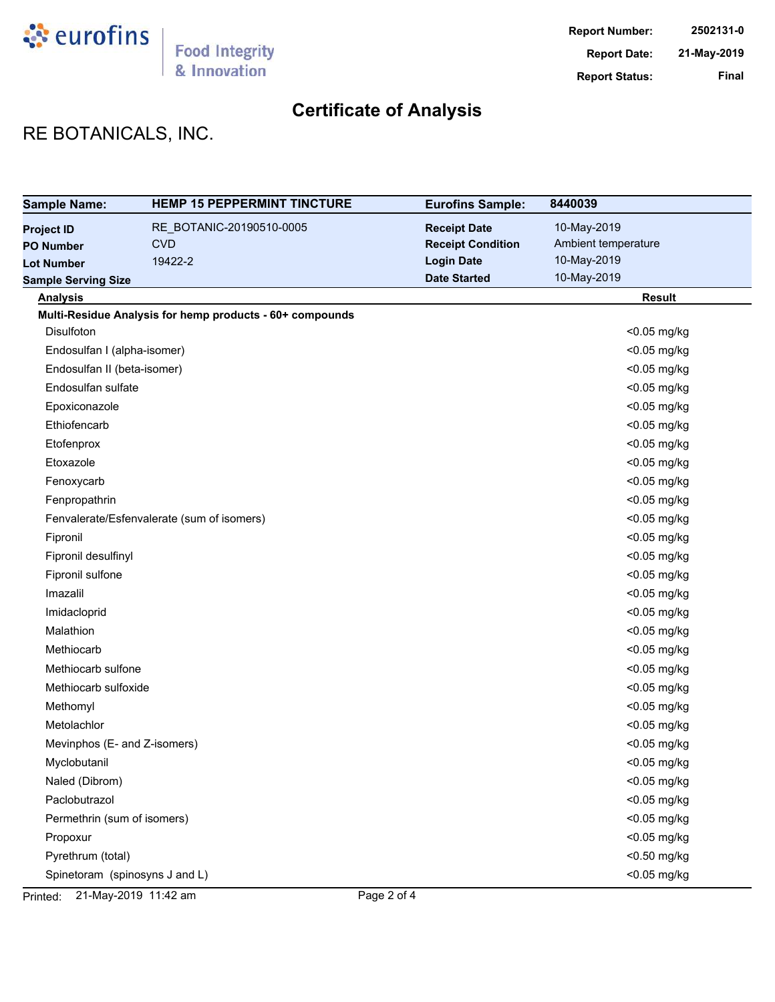

# RE BOTANICALS, INC.

| <b>Sample Name:</b>            | <b>HEMP 15 PEPPERMINT TINCTURE</b>                       | <b>Eurofins Sample:</b>  | 8440039             |
|--------------------------------|----------------------------------------------------------|--------------------------|---------------------|
| <b>Project ID</b>              | RE_BOTANIC-20190510-0005                                 | <b>Receipt Date</b>      | 10-May-2019         |
| <b>PO Number</b>               | <b>CVD</b>                                               | <b>Receipt Condition</b> | Ambient temperature |
| <b>Lot Number</b>              | 19422-2                                                  | <b>Login Date</b>        | 10-May-2019         |
| <b>Sample Serving Size</b>     |                                                          | <b>Date Started</b>      | 10-May-2019         |
| <b>Analysis</b>                |                                                          |                          | <b>Result</b>       |
|                                | Multi-Residue Analysis for hemp products - 60+ compounds |                          |                     |
| <b>Disulfoton</b>              |                                                          |                          | <0.05 mg/kg         |
| Endosulfan I (alpha-isomer)    |                                                          |                          | <0.05 mg/kg         |
| Endosulfan II (beta-isomer)    |                                                          |                          | <0.05 mg/kg         |
| Endosulfan sulfate             |                                                          |                          | <0.05 mg/kg         |
| Epoxiconazole                  |                                                          |                          | <0.05 mg/kg         |
| Ethiofencarb                   |                                                          |                          | <0.05 mg/kg         |
| Etofenprox                     |                                                          |                          | <0.05 mg/kg         |
| Etoxazole                      |                                                          |                          | <0.05 mg/kg         |
| Fenoxycarb                     |                                                          |                          | <0.05 mg/kg         |
| Fenpropathrin                  |                                                          |                          | <0.05 mg/kg         |
|                                | Fenvalerate/Esfenvalerate (sum of isomers)               |                          | <0.05 mg/kg         |
| Fipronil                       |                                                          |                          | <0.05 mg/kg         |
| Fipronil desulfinyl            |                                                          |                          | <0.05 mg/kg         |
| Fipronil sulfone               |                                                          |                          | <0.05 mg/kg         |
| Imazalil                       |                                                          |                          | <0.05 mg/kg         |
| Imidacloprid                   |                                                          |                          | <0.05 mg/kg         |
| Malathion                      |                                                          |                          | <0.05 mg/kg         |
| Methiocarb                     |                                                          |                          | <0.05 mg/kg         |
| Methiocarb sulfone             |                                                          |                          | <0.05 mg/kg         |
| Methiocarb sulfoxide           |                                                          |                          | <0.05 mg/kg         |
| Methomyl                       |                                                          |                          | <0.05 mg/kg         |
| Metolachlor                    |                                                          |                          | <0.05 mg/kg         |
| Mevinphos (E- and Z-isomers)   |                                                          |                          | <0.05 mg/kg         |
| Myclobutanil                   |                                                          |                          | <0.05 mg/kg         |
| Naled (Dibrom)                 |                                                          |                          | <0.05 mg/kg         |
| Paclobutrazol                  |                                                          |                          | <0.05 mg/kg         |
| Permethrin (sum of isomers)    |                                                          |                          | <0.05 mg/kg         |
| Propoxur                       |                                                          |                          | <0.05 mg/kg         |
| Pyrethrum (total)              |                                                          |                          | <0.50 mg/kg         |
| Spinetoram (spinosyns J and L) |                                                          |                          | <0.05 mg/kg         |

Printed: 21-May-2019 11:42 am Page 2 of 4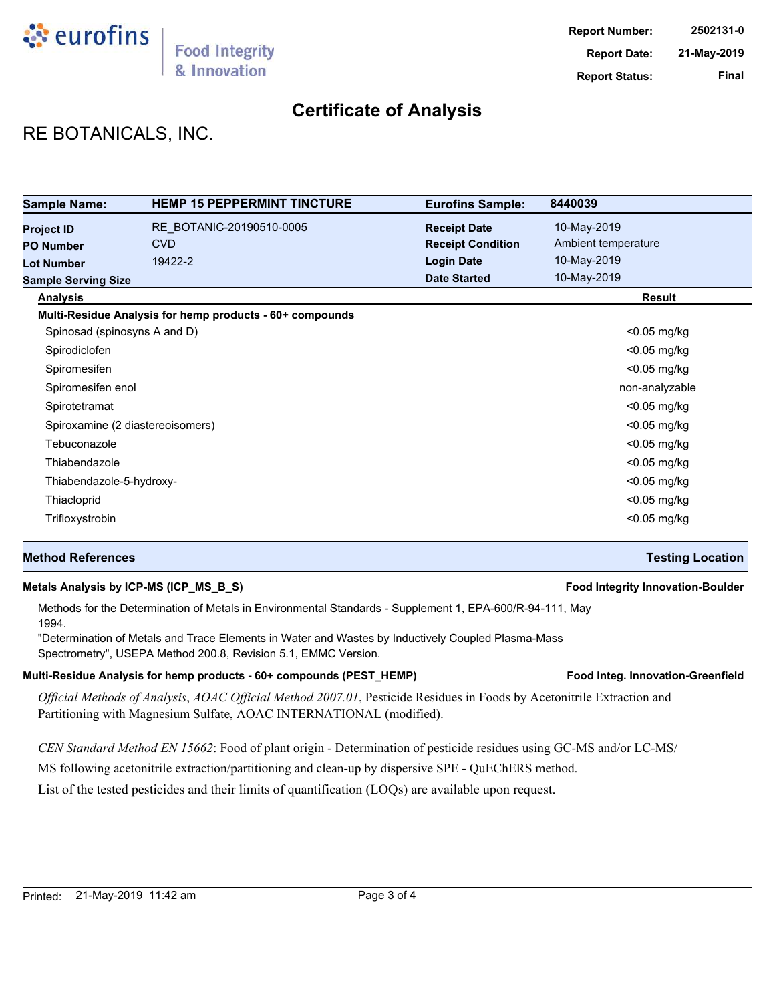

## RE BOTANICALS, INC.

| <b>Sample Name:</b>          | <b>HEMP 15 PEPPERMINT TINCTURE</b>                       | <b>Eurofins Sample:</b>  | 8440039             |
|------------------------------|----------------------------------------------------------|--------------------------|---------------------|
| <b>Project ID</b>            | RE BOTANIC-20190510-0005                                 | <b>Receipt Date</b>      | 10-May-2019         |
| <b>PO Number</b>             | <b>CVD</b>                                               | <b>Receipt Condition</b> | Ambient temperature |
| <b>Lot Number</b>            | 19422-2                                                  | <b>Login Date</b>        | 10-May-2019         |
| <b>Sample Serving Size</b>   |                                                          | <b>Date Started</b>      | 10-May-2019         |
| <b>Analysis</b>              |                                                          |                          | <b>Result</b>       |
|                              | Multi-Residue Analysis for hemp products - 60+ compounds |                          |                     |
| Spinosad (spinosyns A and D) |                                                          |                          | $<$ 0.05 mg/kg      |
| Spirodiclofen                |                                                          |                          | <0.05 mg/kg         |
| Spiromesifen                 |                                                          |                          | <0.05 mg/kg         |
| Spiromesifen enol            |                                                          |                          | non-analyzable      |
| Spirotetramat                |                                                          |                          | $<$ 0.05 mg/kg      |
|                              | Spiroxamine (2 diastereoisomers)                         |                          | <0.05 mg/kg         |
| Tebuconazole                 |                                                          |                          | $<$ 0.05 mg/kg      |
| Thiabendazole                |                                                          |                          | <0.05 mg/kg         |
| Thiabendazole-5-hydroxy-     |                                                          |                          | $<$ 0.05 mg/kg      |
| Thiacloprid                  |                                                          |                          | $<$ 0.05 mg/kg      |
| Trifloxystrobin              |                                                          |                          | $<$ 0.05 mg/kg      |

### **Method References Testing Location**

#### **Metals Analysis by ICP-MS (ICP\_MS\_B\_S) Food Integrity Innovation-Boulder**

### Methods for the Determination of Metals in Environmental Standards - Supplement 1, EPA-600/R-94-111, May 1994.

"Determination of Metals and Trace Elements in Water and Wastes by Inductively Coupled Plasma-Mass Spectrometry", USEPA Method 200.8, Revision 5.1, EMMC Version.

#### Multi-Residue Analysis for hemp products - 60+ compounds (PEST\_HEMP) **Food Integ. Innovation-Greenfield**

*Official Methods of Analysis*, *AOAC Official Method 2007.01*, Pesticide Residues in Foods by Acetonitrile Extraction and Partitioning with Magnesium Sulfate, AOAC INTERNATIONAL (modified).

*CEN Standard Method EN 15662*: Food of plant origin - Determination of pesticide residues using GC-MS and/or LC-MS/

MS following acetonitrile extraction/partitioning and clean-up by dispersive SPE - QuEChERS method.

List of the tested pesticides and their limits of quantification (LOQs) are available upon request.